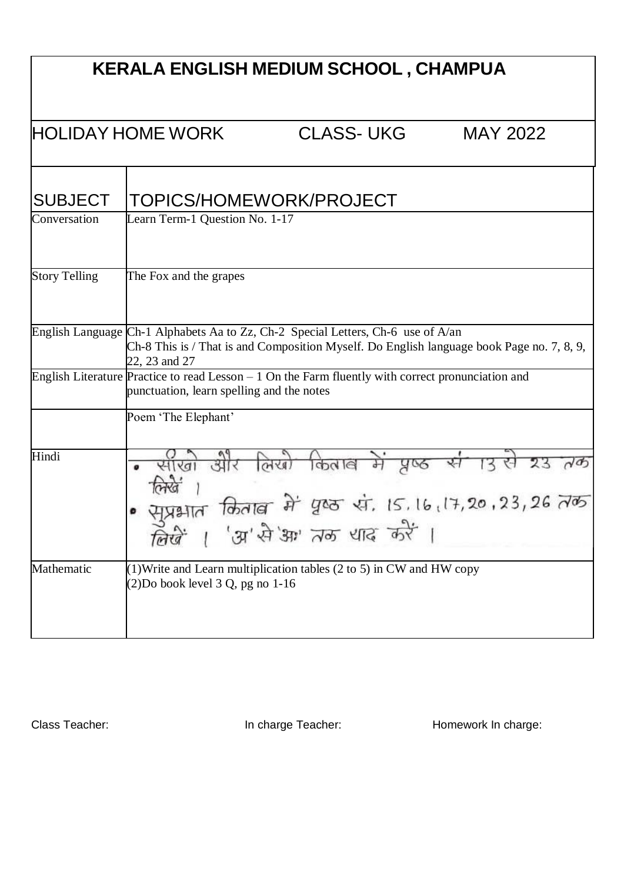## **KERALA ENGLISH MEDIUM SCHOOL , CHAMPUA**

HOLIDAY HOME WORK CLASS- UKG MAY 2022

| <b>SUBJECT</b>          | TOPICS/HOMEWORK/PROJECT                                                                                                                                                       |  |  |  |
|-------------------------|-------------------------------------------------------------------------------------------------------------------------------------------------------------------------------|--|--|--|
| Conversation            | Learn Term-1 Question No. 1-17                                                                                                                                                |  |  |  |
| <b>Story Telling</b>    | The Fox and the grapes                                                                                                                                                        |  |  |  |
| <b>English Language</b> | Ch-1 Alphabets Aa to Zz, Ch-2 Special Letters, Ch-6 use of A/an<br>Ch-8 This is / That is and Composition Myself. Do English language book Page no. 7, 8, 9,<br>22, 23 and 27 |  |  |  |
|                         | English Literature Practice to read Lesson $-1$ On the Farm fluently with correct pronunciation and<br>punctuation, learn spelling and the notes<br>Poem 'The Elephant'       |  |  |  |
|                         |                                                                                                                                                                               |  |  |  |
| Hindi                   | <u>और लिखो किताब में प्रष्ठ स</u><br>सुप्रभात किताब में पुष्ठ सं. 15.16.17,20,23,26 तक<br>लिखें । 'अ'से आ' तक धाद करें ।                                                      |  |  |  |
| Mathematic              | $(1)$ Write and Learn multiplication tables (2 to 5) in CW and HW copy<br>$(2)$ Do book level 3 Q, pg no 1-16                                                                 |  |  |  |

Class Teacher: **In charge Teacher:** In charge Teacher: Homework In charge: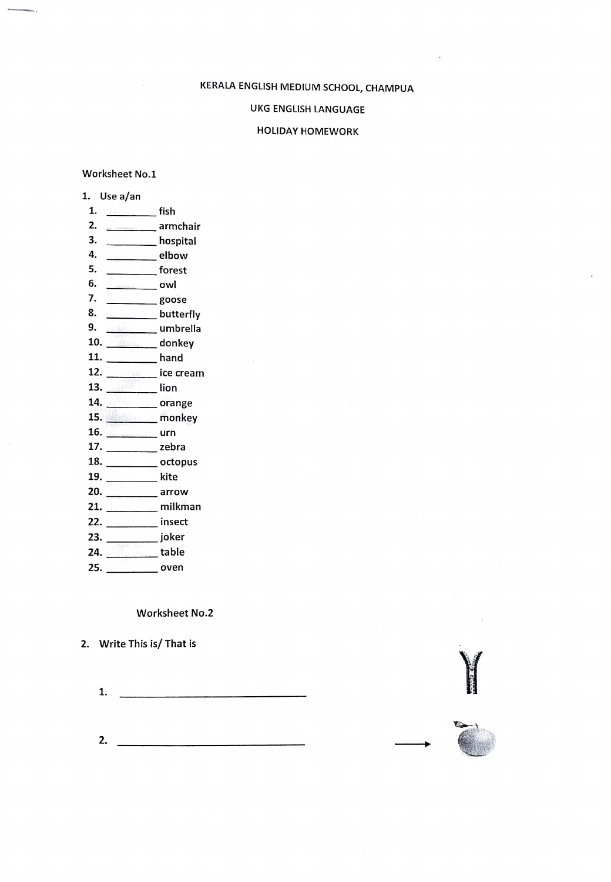## KERALA ENGLISH MEDIUM SCHOOL, CHAMPUA

UKG ENGLISH LANGUAGE

HOLIDAY HOMEWORK

Worksheet No.1

|    | Use a/an |          |
|----|----------|----------|
|    |          | fish     |
| 2. |          | armchair |
| 3. |          | hospital |
|    |          |          |

| 3.  | hospital                                                                                                       |
|-----|----------------------------------------------------------------------------------------------------------------|
| 4.  | elbow                                                                                                          |
| 5.  | <b>forest</b>                                                                                                  |
| 6.  | owl                                                                                                            |
| 7.  | <b>EDOSE</b>                                                                                                   |
| 8.  | _butterfly_                                                                                                    |
| 9.  | umbrella                                                                                                       |
| 10. |                                                                                                                |
| 11. | hand                                                                                                           |
| 12. | <b><i>Committee Cream</i></b>                                                                                  |
| 13. | lion                                                                                                           |
| 14. | orange                                                                                                         |
| 15. | <b>Example 19 monkey</b>                                                                                       |
| 16. | <u> urn</u>                                                                                                    |
| 17. | external reduced to the season of the season of the season of the season of the season of the season of the se |
| 18. | octopus<br>$\overline{\phantom{a}}$                                                                            |
| 19. | kite                                                                                                           |
| 20. | arrow                                                                                                          |
| 21. | milkman                                                                                                        |
| 22. | insect                                                                                                         |
| 23. | joker                                                                                                          |
| 24. | <b>table</b>                                                                                                   |
| 25. | oven                                                                                                           |
|     |                                                                                                                |

Worksheet No.2

2. Write This is/ That is

 $\begin{picture}(100,100)(0,0) \put(0,0){\vector(1,0){100}} \put(10,0){\vector(1,0){100}} \put(10,0){\vector(1,0){100}} \put(10,0){\vector(1,0){100}} \put(10,0){\vector(1,0){100}} \put(10,0){\vector(1,0){100}} \put(10,0){\vector(1,0){100}} \put(10,0){\vector(1,0){100}} \put(10,0){\vector(1,0){100}} \put(10,0){\vector(1,0){100}} \put(10,0){\vector(1,0$ 

2.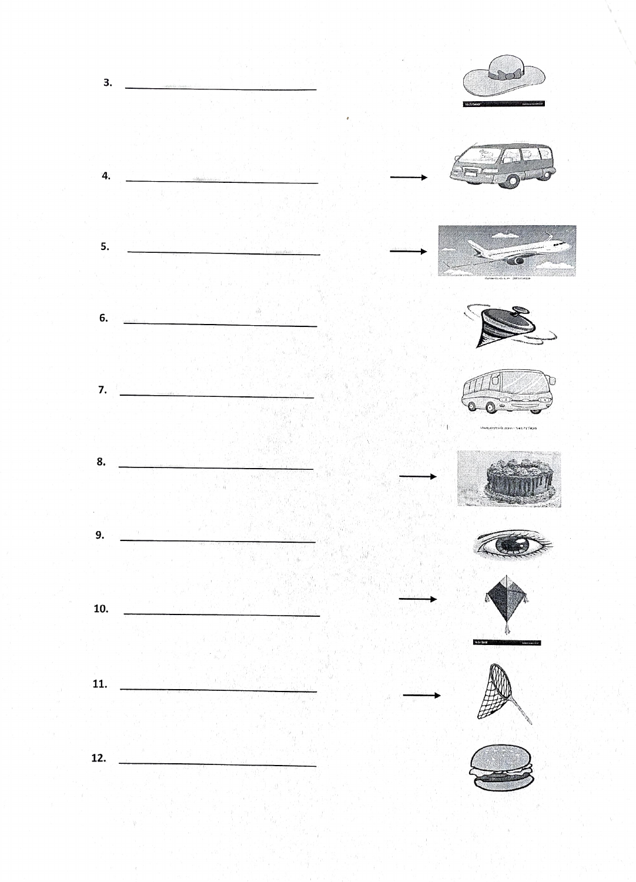ngjikili  $\overline{4}$ 5. 6. 7. 8. 9. 10. 11. 12.